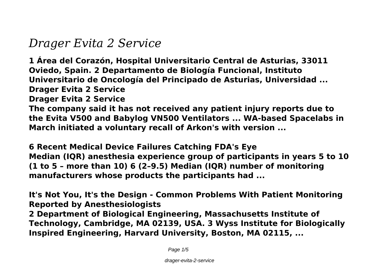## *Drager Evita 2 Service*

**1 Área del Corazón, Hospital Universitario Central de Asturias, 33011 Oviedo, Spain. 2 Departamento de Biología Funcional, Instituto Universitario de Oncología del Principado de Asturias, Universidad ... Drager Evita 2 Service**

**Drager Evita 2 Service**

**The company said it has not received any patient injury reports due to the Evita V500 and Babylog VN500 Ventilators ... WA-based Spacelabs in March initiated a voluntary recall of Arkon's with version ...**

**6 Recent Medical Device Failures Catching FDA's Eye Median (IQR) anesthesia experience group of participants in years 5 to 10 (1 to 5 – more than 10) 6 (2–9.5) Median (IQR) number of monitoring manufacturers whose products the participants had ...**

**It's Not You, It's the Design - Common Problems With Patient Monitoring Reported by Anesthesiologists**

**2 Department of Biological Engineering, Massachusetts Institute of Technology, Cambridge, MA 02139, USA. 3 Wyss Institute for Biologically Inspired Engineering, Harvard University, Boston, MA 02115, ...**

Page  $1/5$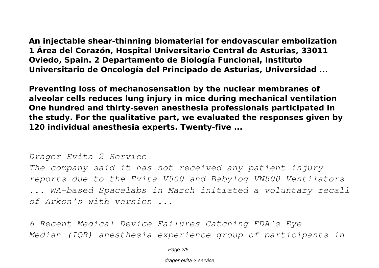**An injectable shear-thinning biomaterial for endovascular embolization 1 Área del Corazón, Hospital Universitario Central de Asturias, 33011 Oviedo, Spain. 2 Departamento de Biología Funcional, Instituto Universitario de Oncología del Principado de Asturias, Universidad ...**

**Preventing loss of mechanosensation by the nuclear membranes of alveolar cells reduces lung injury in mice during mechanical ventilation One hundred and thirty-seven anesthesia professionals participated in the study. For the qualitative part, we evaluated the responses given by 120 individual anesthesia experts. Twenty-five ...**

*Drager Evita 2 Service*

*The company said it has not received any patient injury reports due to the Evita V500 and Babylog VN500 Ventilators ... WA-based Spacelabs in March initiated a voluntary recall of Arkon's with version ...*

*6 Recent Medical Device Failures Catching FDA's Eye Median (IQR) anesthesia experience group of participants in*

Page  $2/5$ 

drager-evita-2-service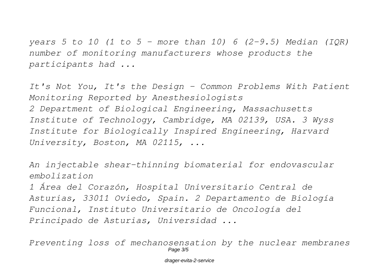*years 5 to 10 (1 to 5 – more than 10) 6 (2–9.5) Median (IQR) number of monitoring manufacturers whose products the participants had ...*

*It's Not You, It's the Design - Common Problems With Patient Monitoring Reported by Anesthesiologists 2 Department of Biological Engineering, Massachusetts Institute of Technology, Cambridge, MA 02139, USA. 3 Wyss Institute for Biologically Inspired Engineering, Harvard University, Boston, MA 02115, ...*

*An injectable shear-thinning biomaterial for endovascular embolization*

*1 Área del Corazón, Hospital Universitario Central de Asturias, 33011 Oviedo, Spain. 2 Departamento de Biología Funcional, Instituto Universitario de Oncología del Principado de Asturias, Universidad ...*

*Preventing loss of mechanosensation by the nuclear membranes* Page 3/5

drager-evita-2-service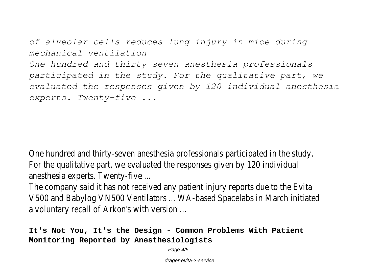*of alveolar cells reduces lung injury in mice during mechanical ventilation*

*One hundred and thirty-seven anesthesia professionals participated in the study. For the qualitative part, we evaluated the responses given by 120 individual anesthesia experts. Twenty-five ...*

One hundred and thirty-seven anesthesia professionals participated in the stud For the qualitative part, we evaluated the responses given by 120 individual anesthesia experts. Twenty-five ...

The company said it has not received any patient injury reports due to the Evit V500 and Babylog VN500 Ventilators ... WA-based Spacelabs in March initiate a voluntary recall of Arkon's with version ...

**It's Not You, It's the Design - Common Problems With Patient Monitoring Reported by Anesthesiologists**

Page  $4/5$ 

drager-evita-2-service